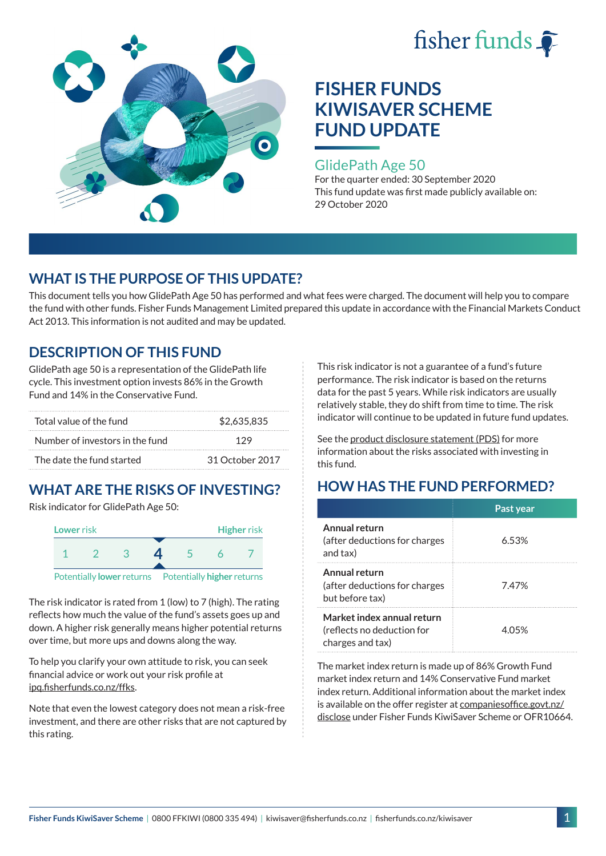



### GlidePath Age 50

For the quarter ended: 30 September 2020 This fund update was first made publicly available on: 29 October 2020

# **WHAT IS THE PURPOSE OF THIS UPDATE?**

This document tells you how GlidePath Age 50 has performed and what fees were charged. The document will help you to compare the fund with other funds. Fisher Funds Management Limited prepared this update in accordance with the Financial Markets Conduct Act 2013. This information is not audited and may be updated.

# **DESCRIPTION OF THIS FUND**

GlidePath age 50 is a representation of the GlidePath life cycle. This investment option invests 86% in the Growth Fund and 14% in the Conservative Fund.

| Total value of the fund         | \$2,635,835     |  |
|---------------------------------|-----------------|--|
| Number of investors in the fund | 129             |  |
| The date the fund started       | 31 October 2017 |  |

# **WHAT ARE THE RISKS OF INVESTING?**

Risk indicator for GlidePath Age 50:



The risk indicator is rated from 1 (low) to 7 (high). The rating reflects how much the value of the fund's assets goes up and down. A higher risk generally means higher potential returns over time, but more ups and downs along the way.

To help you clarify your own attitude to risk, you can seek financial advice or work out your risk profile at [ipq.fisherfunds.co.nz/ffks](https://ipq.fisherfunds.co.nz/ffks).

Note that even the lowest category does not mean a risk-free investment, and there are other risks that are not captured by this rating.

This risk indicator is not a guarantee of a fund's future performance. The risk indicator is based on the returns data for the past 5 years. While risk indicators are usually relatively stable, they do shift from time to time. The risk indicator will continue to be updated in future fund updates.

See the [product disclosure statement \(PDS\)](https://fisherfunds.co.nz/assets/PDS/Fisher-Funds-KiwiSaver-Scheme-PDS.pdf) for more information about the risks associated with investing in this fund.

# **HOW HAS THE FUND PERFORMED?**

|                                                                              | Past year |
|------------------------------------------------------------------------------|-----------|
| Annual return<br>(after deductions for charges<br>and tax)                   | 6.53%     |
| Annual return<br>(after deductions for charges<br>but before tax)            | 7.47%     |
| Market index annual return<br>(reflects no deduction for<br>charges and tax) | 4.05%     |

The market index return is made up of 86% Growth Fund market index return and 14% Conservative Fund market index return. Additional information about the market index is available on the offer register at [companiesoffice.govt.nz/](http://companiesoffice.govt.nz/disclose) [disclose](http://companiesoffice.govt.nz/disclose) under Fisher Funds KiwiSaver Scheme or OFR10664.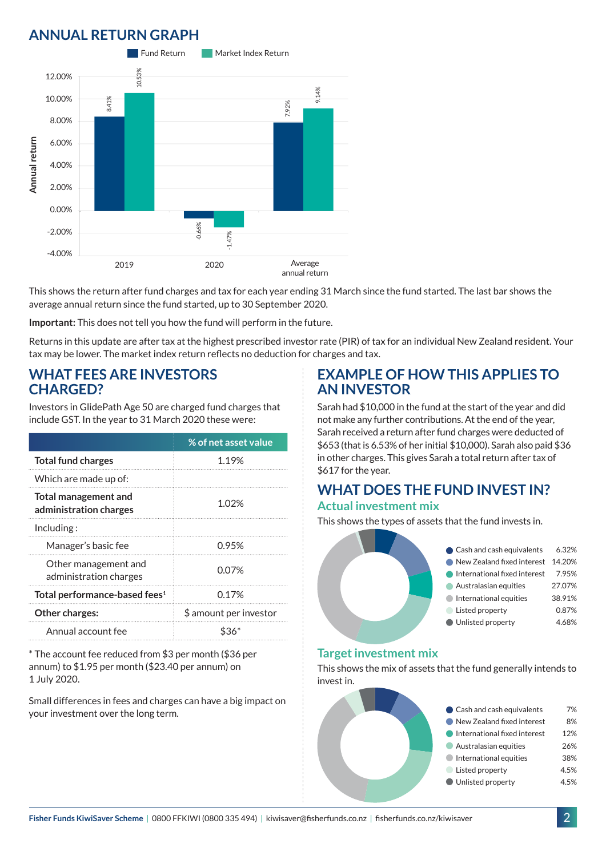# **ANNUAL RETURN GRAPH**



This shows the return after fund charges and tax for each year ending 31 March since the fund started. The last bar shows the average annual return since the fund started, up to 30 September 2020.

**Important:** This does not tell you how the fund will perform in the future.

Returns in this update are after tax at the highest prescribed investor rate (PIR) of tax for an individual New Zealand resident. Your tax may be lower. The market index return reflects no deduction for charges and tax.

### **WHAT FEES ARE INVESTORS CHARGED?**

Investors in GlidePath Age 50 are charged fund charges that include GST. In the year to 31 March 2020 these were:

|                                                       | % of net asset value   |  |
|-------------------------------------------------------|------------------------|--|
| <b>Total fund charges</b>                             | 1.19%                  |  |
| Which are made up of:                                 |                        |  |
| <b>Total management and</b><br>administration charges | 1.02%                  |  |
| Inding:                                               |                        |  |
| Manager's basic fee                                   | 0.95%                  |  |
| Other management and<br>administration charges        | 0.07%                  |  |
| Total performance-based fees <sup>1</sup>             | 0.17%                  |  |
| <b>Other charges:</b>                                 | \$ amount per investor |  |
| Annual account fee                                    |                        |  |

\* The account fee reduced from \$3 per month (\$36 per annum) to \$1.95 per month (\$23.40 per annum) on 1 July 2020.

Small differences in fees and charges can have a big impact on your investment over the long term.

### **EXAMPLE OF HOW THIS APPLIES TO AN INVESTOR**

Sarah had \$10,000 in the fund at the start of the year and did not make any further contributions. At the end of the year, Sarah received a return after fund charges were deducted of \$653 (that is 6.53% of her initial \$10,000). Sarah also paid \$36 in other charges. This gives Sarah a total return after tax of \$617 for the year.

#### **WHAT DOES THE FUND INVEST IN? Actual investment mix**

This shows the types of assets that the fund invests in.



#### **Target investment mix**

This shows the mix of assets that the fund generally intends to invest in.